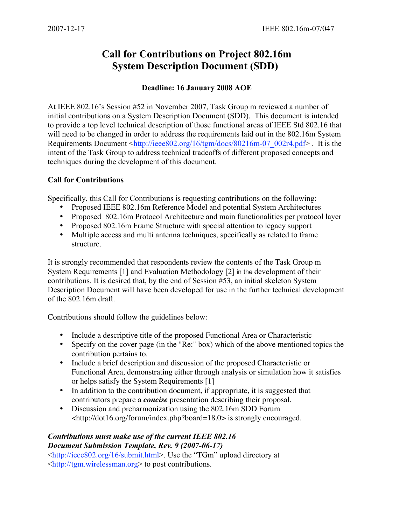## **Call for Contributions on Project 802.16m System Description Document (SDD)**

## **Deadline: 16 January 2008 AOE**

At IEEE 802.16's Session #52 in November 2007, Task Group m reviewed a number of initial contributions on a System Description Document (SDD). This document is intended to provide a top level technical description of those functional areas of IEEE Std 802.16 that will need to be changed in order to address the requirements laid out in the 802.16m System Requirements Document [<http://ieee802.org/16/tgm/docs/80216m-07\\_002r4.pdf>](http://ieee802.org/16/tgm/docs/80216m-07_002r4.pdf) . It is the intent of the Task Group to address technical tradeoffs of different proposed concepts and techniques during the development of this document.

## **Call for Contributions**

Specifically, this Call for Contributions is requesting contributions on the following:

- Proposed IEEE 802.16m Reference Model and potential System Architectures
- Proposed 802.16m Protocol Architecture and main functionalities per protocol layer
- Proposed 802.16m Frame Structure with special attention to legacy support
- Multiple access and multi antenna techniques, specifically as related to frame structure.

It is strongly recommended that respondents review the contents of the Task Group m System Requirements [1] and Evaluation Methodology [2] in the development of their contributions. It is desired that, by the end of Session #53, an initial skeleton System Description Document will have been developed for use in the further technical development of the 802.16m draft.

Contributions should follow the guidelines below:

- Include a descriptive title of the proposed Functional Area or Characteristic
- Specify on the cover page (in the "Re:" box) which of the above mentioned topics the contribution pertains to.
- Include a brief description and discussion of the proposed Characteristic or Functional Area, demonstrating either through analysis or simulation how it satisfies or helps satisfy the System Requirements [1]
- In addition to the contribution document, if appropriate, it is suggested that contributors prepare a *concise* presentation describing their proposal.
- Discussion and preharmonization using the 802.16m SDD Forum <[http://dot16.org/forum/index.php?board=18.0>](http://dot16.org/forum/index.php?board=18.0) is strongly encouraged.

## *Contributions must make use of the current IEEE 802.16 Document Submission Template, Rev. 9 (2007-06-17)*

<[http://ieee802.org/16/submit.html>. Us](http://ieee802.org/16/submit.html)e the "TGm" upload directory at <[http://tgm.wirelessman.org>](http://tgm.wirelessman.org) to post contributions.